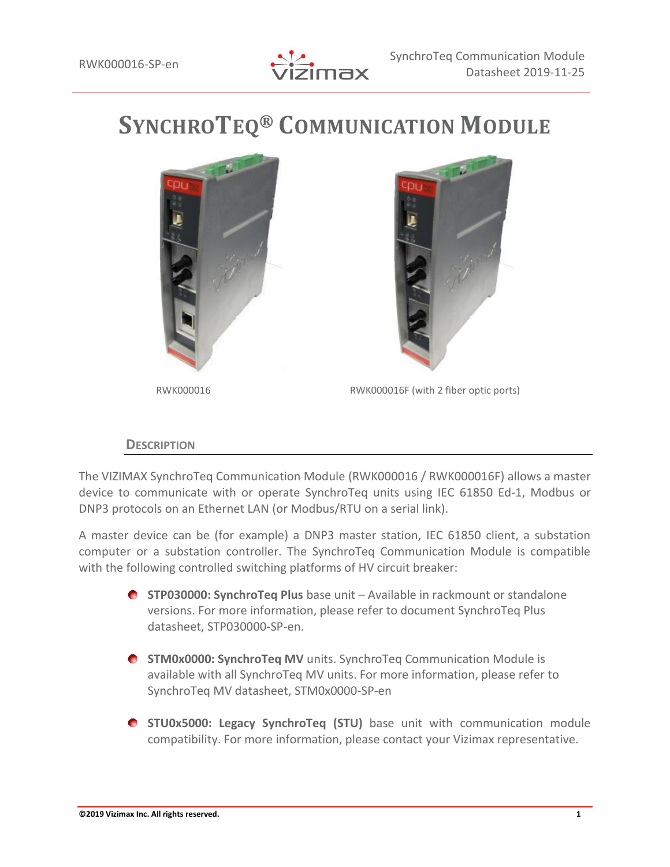

# **SYNCHROTEQ® COMMUNICATION MODULE**





RWK000016 RWK000016F (with 2 fiber optic ports)

## **DESCRIPTION**

The VIZIMAX SynchroTeq Communication Module (RWK000016 / RWK000016F) allows a master device to communicate with or operate SynchroTeq units using IEC 61850 Ed-1, Modbus or DNP3 protocols on an Ethernet LAN (or Modbus/RTU on a serial link).

A master device can be (for example) a DNP3 master station, IEC 61850 client, a substation computer or a substation controller. The SynchroTeq Communication Module is compatible with the following controlled switching platforms of HV circuit breaker:

- **STP030000: SynchroTeq Plus** base unit Available in rackmount or standalone versions. For more information, please refer to document SynchroTeq Plus datasheet, STP030000-SP-en.
- **STM0x0000: SynchroTeq MV** units. SynchroTeq Communication Module is available with all SynchroTeq MV units. For more information, please refer to SynchroTeq MV datasheet, STM0x0000-SP-en
- **STU0x5000: Legacy SynchroTeq (STU)** base unit with communication module compatibility. For more information, please contact your Vizimax representative.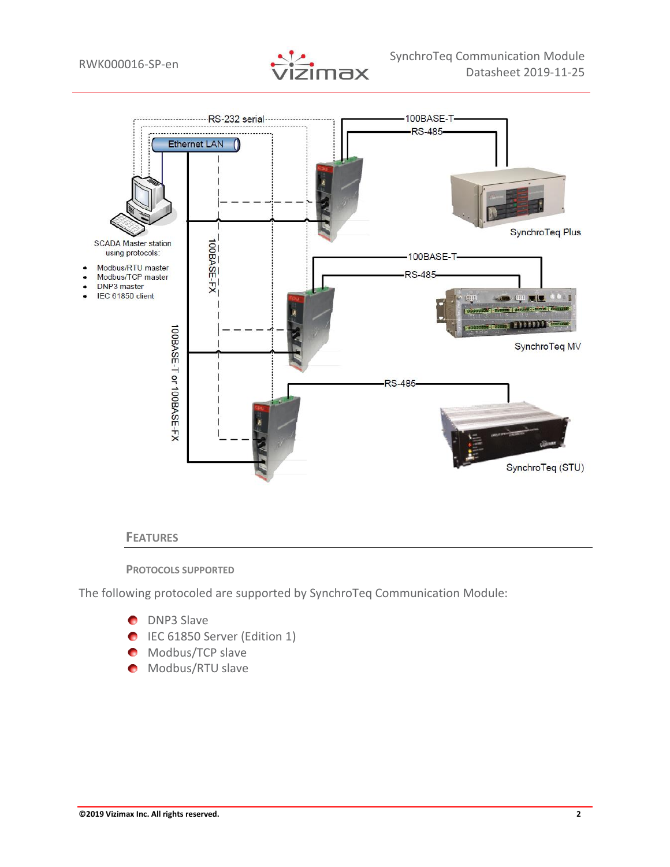



#### **FEATURES**

#### **PROTOCOLS SUPPORTED**

The following protocoled are supported by SynchroTeq Communication Module:

- **D** DNP3 Slave
- **IEC 61850 Server (Edition 1)**
- **Modbus/TCP slave**
- **Modbus/RTU slave**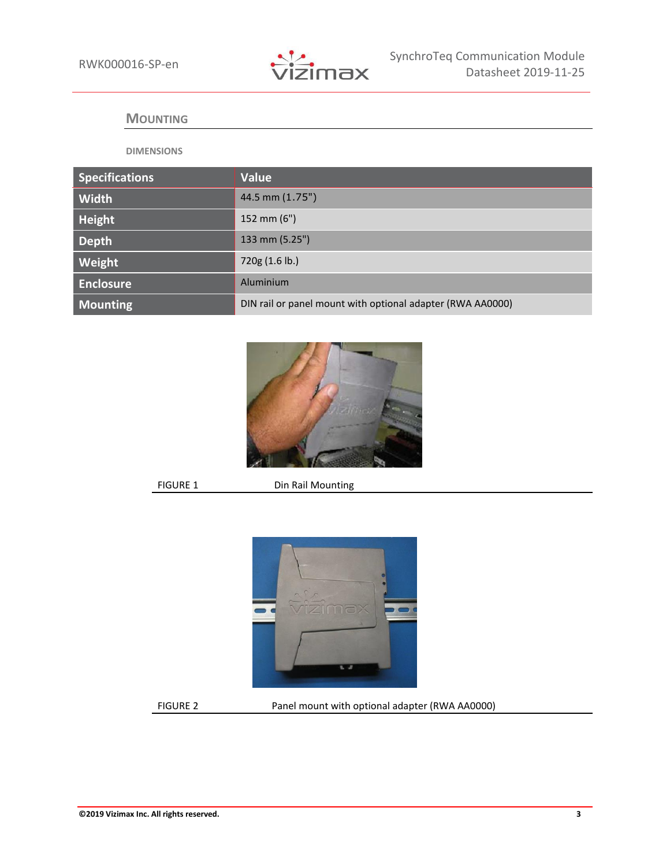

#### **MOUNTING**

#### **DIMENSIONS**

| <b>Specifications</b> | <b>Value</b>                                               |
|-----------------------|------------------------------------------------------------|
| Width                 | 44.5 mm (1.75")                                            |
| Height                | 152 mm $(6")$                                              |
| <b>Depth</b>          | 133 mm (5.25")                                             |
| Weight                | 720g (1.6 lb.)                                             |
| <b>Enclosure</b>      | Aluminium                                                  |
| <b>Mounting</b>       | DIN rail or panel mount with optional adapter (RWA AA0000) |



FIGURE 1 Din Rail Mounting



FIGURE 2 Panel mount with optional adapter (RWA AA0000)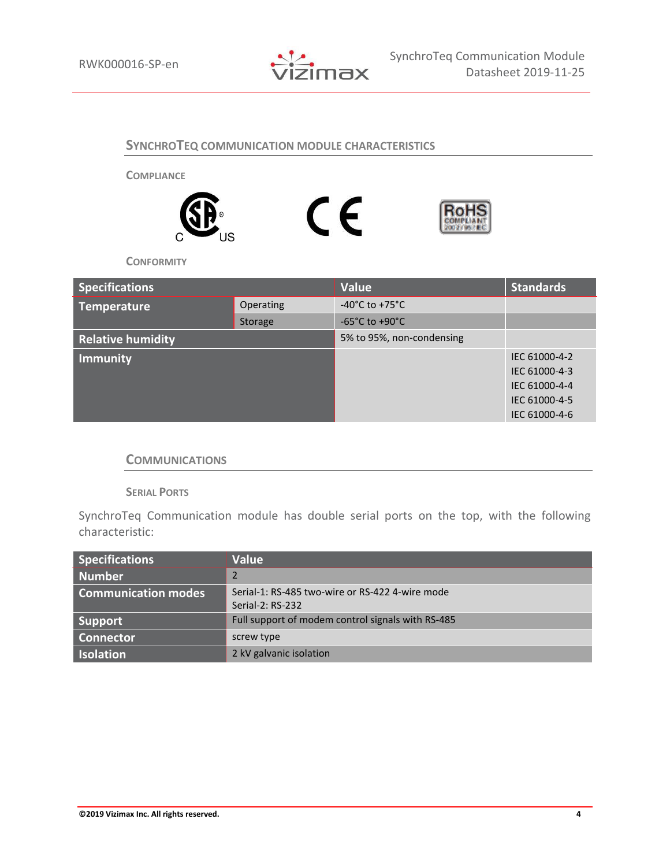

# **SYNCHROTEQ COMMUNICATION MODULE CHARACTERISTICS**

**COMPLIANCE**







**CONFORMITY**

| <b>Specifications</b>    |           | Value                              | <b>Standards</b> |
|--------------------------|-----------|------------------------------------|------------------|
| <b>Temperature</b>       | Operating | $-40^{\circ}$ C to $+75^{\circ}$ C |                  |
|                          | Storage   | $-65^{\circ}$ C to $+90^{\circ}$ C |                  |
| <b>Relative humidity</b> |           | 5% to 95%, non-condensing          |                  |
| <b>Immunity</b>          |           |                                    | IEC 61000-4-2    |
|                          |           |                                    | IEC 61000-4-3    |
|                          |           |                                    | IEC 61000-4-4    |
|                          |           |                                    | IEC 61000-4-5    |
|                          |           |                                    | IEC 61000-4-6    |

## **COMMUNICATIONS**

**SERIAL PORTS**

SynchroTeq Communication module has double serial ports on the top, with the following characteristic:

| <b>Specifications</b>      | Value                                                               |
|----------------------------|---------------------------------------------------------------------|
| <b>Number</b>              |                                                                     |
| <b>Communication modes</b> | Serial-1: RS-485 two-wire or RS-422 4-wire mode<br>Serial-2: RS-232 |
| Support                    | Full support of modem control signals with RS-485                   |
| <b>Connector</b>           | screw type                                                          |
| Isolation                  | 2 kV galvanic isolation                                             |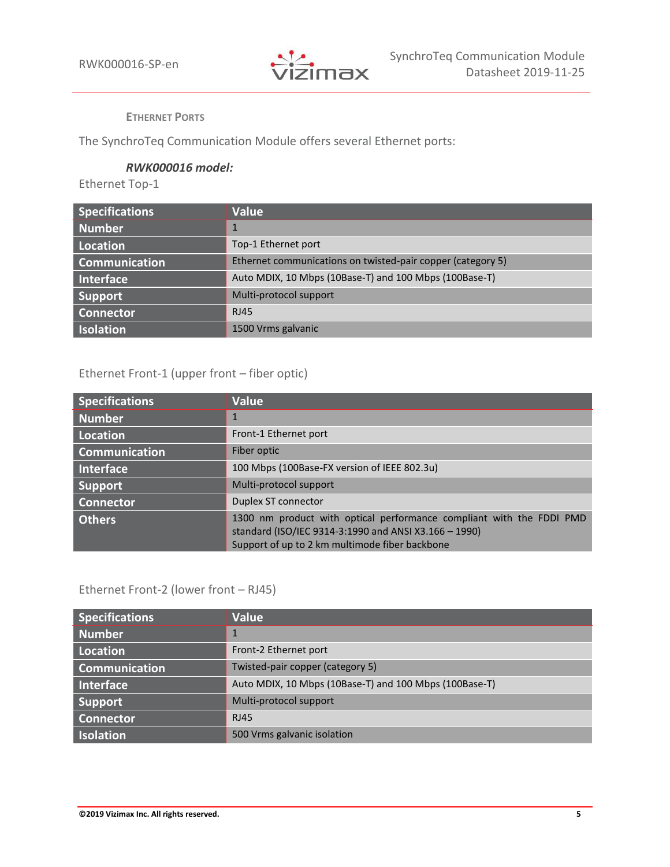

**ETHERNET PORTS**

The SynchroTeq Communication Module offers several Ethernet ports:

#### *RWK000016 model:*

Ethernet Top-1

| <b>Specifications</b> | <b>Value</b>                                                |
|-----------------------|-------------------------------------------------------------|
| Number                |                                                             |
| Location              | Top-1 Ethernet port                                         |
| <b>Communication</b>  | Ethernet communications on twisted-pair copper (category 5) |
| Interface             | Auto MDIX, 10 Mbps (10Base-T) and 100 Mbps (100Base-T)      |
| Support               | Multi-protocol support                                      |
| <b>Connector</b>      | <b>RJ45</b>                                                 |
| <b>Isolation</b>      | 1500 Vrms galvanic                                          |

# Ethernet Front-1 (upper front – fiber optic)

| <b>Specifications</b> | <b>Value</b>                                                                                                                                                                    |
|-----------------------|---------------------------------------------------------------------------------------------------------------------------------------------------------------------------------|
| Number                | 1                                                                                                                                                                               |
| Location              | Front-1 Ethernet port                                                                                                                                                           |
| <b>Communication</b>  | Fiber optic                                                                                                                                                                     |
| <b>Interface</b>      | 100 Mbps (100Base-FX version of IEEE 802.3u)                                                                                                                                    |
| <b>Support</b>        | Multi-protocol support                                                                                                                                                          |
| <b>Connector</b>      | Duplex ST connector                                                                                                                                                             |
| <b>Others</b>         | 1300 nm product with optical performance compliant with the FDDI PMD<br>standard (ISO/IEC 9314-3:1990 and ANSI X3.166 - 1990)<br>Support of up to 2 km multimode fiber backbone |

# Ethernet Front-2 (lower front – RJ45)

| <b>Specifications</b> | Value                                                  |
|-----------------------|--------------------------------------------------------|
| Number                | 1                                                      |
| Location              | Front-2 Ethernet port                                  |
| <b>Communication</b>  | Twisted-pair copper (category 5)                       |
| Interface             | Auto MDIX, 10 Mbps (10Base-T) and 100 Mbps (100Base-T) |
| <b>Support</b>        | Multi-protocol support                                 |
| <b>Connector</b>      | <b>RJ45</b>                                            |
| <b>Isolation</b>      | 500 Vrms galvanic isolation                            |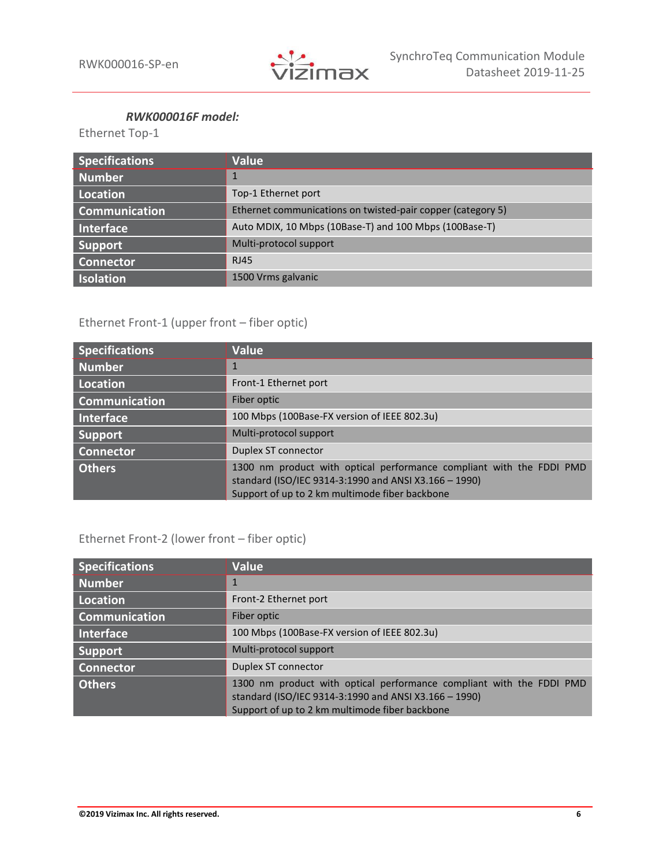

#### *RWK000016F model:*

Ethernet Top-1

| <b>Specifications</b> | <b>Value</b>                                                |
|-----------------------|-------------------------------------------------------------|
| Number                |                                                             |
| Location              | Top-1 Ethernet port                                         |
| <b>Communication</b>  | Ethernet communications on twisted-pair copper (category 5) |
| Interface             | Auto MDIX, 10 Mbps (10Base-T) and 100 Mbps (100Base-T)      |
| <b>Support</b>        | Multi-protocol support                                      |
| <b>Connector</b>      | <b>RJ45</b>                                                 |
| Isolation             | 1500 Vrms galvanic                                          |

# Ethernet Front-1 (upper front – fiber optic)

| <b>Specifications</b> | <b>Value</b>                                                                                                                                                                    |
|-----------------------|---------------------------------------------------------------------------------------------------------------------------------------------------------------------------------|
| <b>Number</b>         |                                                                                                                                                                                 |
| Location <sup>'</sup> | Front-1 Ethernet port                                                                                                                                                           |
| <b>Communication</b>  | Fiber optic                                                                                                                                                                     |
| <b>Interface</b>      | 100 Mbps (100Base-FX version of IEEE 802.3u)                                                                                                                                    |
| Support               | Multi-protocol support                                                                                                                                                          |
| <b>Connector</b>      | Duplex ST connector                                                                                                                                                             |
| <b>Others</b>         | 1300 nm product with optical performance compliant with the FDDI PMD<br>standard (ISO/IEC 9314-3:1990 and ANSI X3.166 - 1990)<br>Support of up to 2 km multimode fiber backbone |

# Ethernet Front-2 (lower front – fiber optic)

| <b>Specifications</b> | Value                                                                                                                                                                           |
|-----------------------|---------------------------------------------------------------------------------------------------------------------------------------------------------------------------------|
| <b>Number</b>         |                                                                                                                                                                                 |
| Location              | Front-2 Ethernet port                                                                                                                                                           |
| <b>Communication</b>  | Fiber optic                                                                                                                                                                     |
| Interface             | 100 Mbps (100Base-FX version of IEEE 802.3u)                                                                                                                                    |
| <b>Support</b>        | Multi-protocol support                                                                                                                                                          |
| <b>Connector</b>      | Duplex ST connector                                                                                                                                                             |
| <b>Others</b>         | 1300 nm product with optical performance compliant with the FDDI PMD<br>standard (ISO/IEC 9314-3:1990 and ANSI X3.166 - 1990)<br>Support of up to 2 km multimode fiber backbone |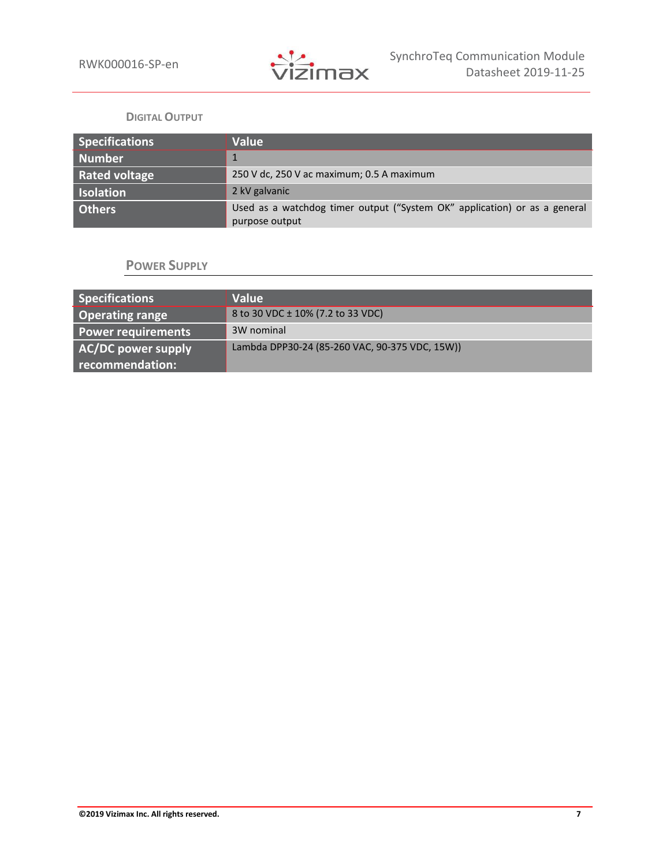

#### **DIGITAL OUTPUT**

| <b>Specifications</b> | Value                                                                                       |
|-----------------------|---------------------------------------------------------------------------------------------|
| Number                |                                                                                             |
| <b>Rated voltage</b>  | 250 V dc, 250 V ac maximum; 0.5 A maximum                                                   |
| <b>Isolation</b>      | 2 kV galvanic                                                                               |
| <b>Others</b>         | Used as a watchdog timer output ("System OK" application) or as a general<br>purpose output |

# **POWER SUPPLY**

| Specifications            | <b>Value</b>                                   |
|---------------------------|------------------------------------------------|
| <b>Operating range</b>    | 8 to 30 VDC ± 10% (7.2 to 33 VDC)              |
| <b>Power requirements</b> | 3W nominal                                     |
| AC/DC power supply        | Lambda DPP30-24 (85-260 VAC, 90-375 VDC, 15W)) |
| recommendation:           |                                                |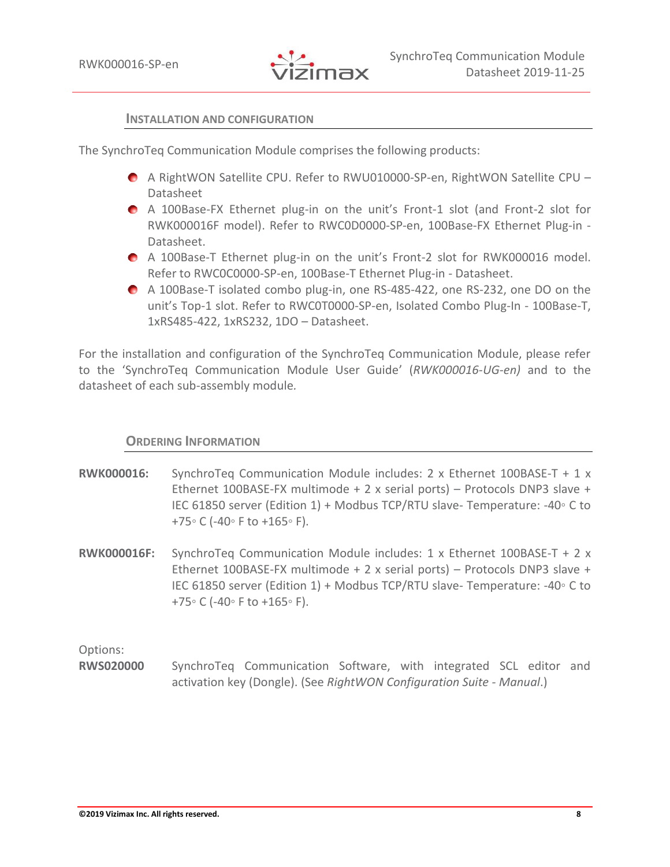

#### **INSTALLATION AND CONFIGURATION**

The SynchroTeq Communication Module comprises the following products:

- A RightWON Satellite CPU. Refer to RWU010000-SP-en, RightWON Satellite CPU Datasheet
- A 100Base-FX Ethernet plug-in on the unit's Front-1 slot (and Front-2 slot for RWK000016F model). Refer to RWC0D0000-SP-en, 100Base-FX Ethernet Plug-in - Datasheet.
- A 100Base-T Ethernet plug-in on the unit's Front-2 slot for RWK000016 model. Refer to RWC0C0000-SP-en, 100Base-T Ethernet Plug-in - Datasheet.
- A 100Base-T isolated combo plug-in, one RS-485-422, one RS-232, one DO on the unit's Top-1 slot. Refer to RWC0T0000-SP-en, Isolated Combo Plug-In - 100Base-T, 1xRS485-422, 1xRS232, 1DO – Datasheet.

For the installation and configuration of the SynchroTeq Communication Module, please refer to the 'SynchroTeq Communication Module User Guide' (*RWK000016-UG-en)* and to the datasheet of each sub-assembly module*.*

## **ORDERING INFORMATION**

- **RWK000016:** SynchroTeq Communication Module includes: 2 x Ethernet 100BASE-T + 1 x Ethernet 100BASE-FX multimode + 2 x serial ports) – Protocols DNP3 slave + IEC 61850 server (Edition 1) + Modbus TCP/RTU slave- Temperature: -40◦ C to +75◦ C (-40◦ F to +165◦ F).
- **RWK000016F:** SynchroTeq Communication Module includes: 1 x Ethernet 100BASE-T + 2 x Ethernet 100BASE-FX multimode + 2 x serial ports) – Protocols DNP3 slave + IEC 61850 server (Edition 1) + Modbus TCP/RTU slave- Temperature: -40◦ C to +75◦ C (-40◦ F to +165◦ F).

Options:

**RWS020000** SynchroTeq Communication Software, with integrated SCL editor and activation key (Dongle). (See *RightWON Configuration Suite - Manual*.)